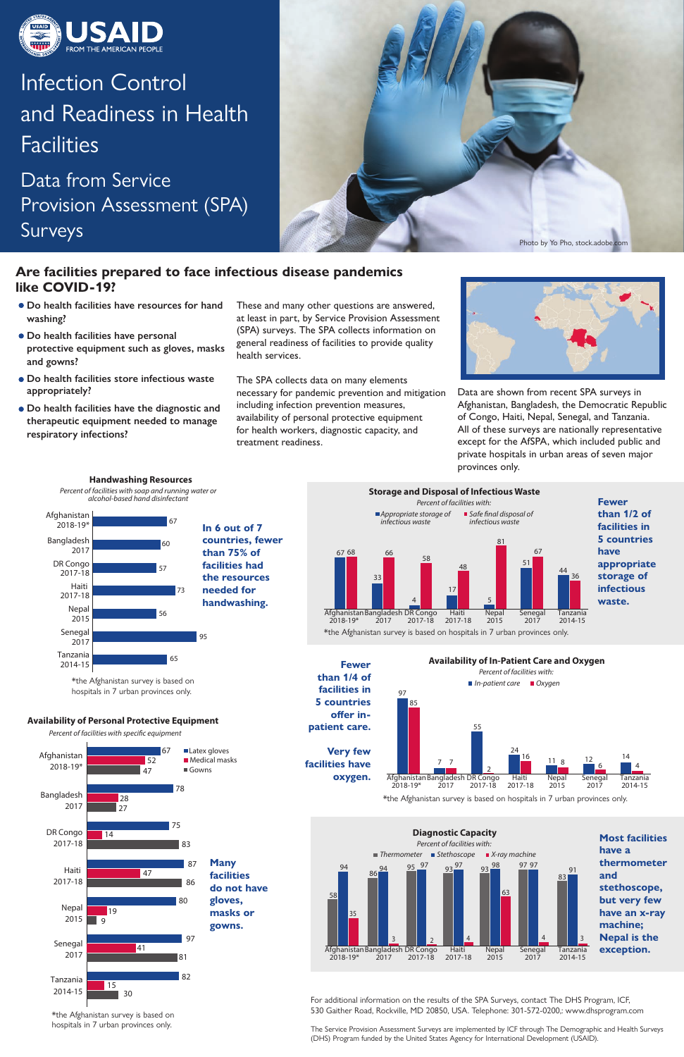

# Infection Control and Readiness in Health **Facilities**

Data from Service Provision Assessment (SPA) **Surveys** 

> For additional information on the results of the SPA Surveys, contact The DHS Program, ICF, 530 Gaither Road, Rockville, MD 20850, USA. Telephone: 301-572-0200,: www.dhsprogram.com

The Service Provision Assessment Surveys are implemented by ICF through The Demographic and Health Surveys (DHS) Program funded by the United States Agency for International Development (USAID).

These and many other questions are answered, at least in part, by Service Provision Assessment (SPA) surveys. The SPA collects information on general readiness of facilities to provide quality health services.

The SPA collects data on many elements necessary for pandemic prevention and mitigation including infection prevention measures, availability of personal protective equipment for health workers, diagnostic capacity, and treatment readiness.



- **Do health facilities have resources for hand washing?**
- **Do health facilities have personal protective equipment such as gloves, masks and gowns?**
- **Do health facilities store infectious waste appropriately?**
- **Do health facilities have the diagnostic and therapeutic equipment needed to manage respiratory infections?**

Data are shown from recent SPA surveys in Afghanistan, Bangladesh, the Democratic Republic of Congo, Haiti, Nepal, Senegal, and Tanzania. All of these surveys are nationally representative except for the AfSPA, which included public and private hospitals in urban areas of seven major provinces only.

Afghanistan Bangladesh DR Congo 2017 Haiti 2017-18 2017-18 Nepal 2015 2018-19\* Tanzania 2014-15 Senegal 2017 **oxygen.**  \*the Afghanistan survey is based on hospitals in 7 urban provinces only.

 $24$ 

 $\frac{16}{11}$   $\frac{11}{8}$   $\frac{12}{6}$ 

### **Are facilities prepared to face infectious disease pandemics like COVID-19?**

#### 97 **Availability of In-Patient Care and Oxygen** *In-patient care Oxygen* 85 *Percent of facilities with:*

**Availability of Personal Protective Equipment** Percent of facilities with specific equipment

7 7

55

2

14 4

12

**In 6 out of 7 countries, fewer than 75% of facilities had the resources needed for handwashing.**

67

**Handwashing Resources** *Percent of facilities with soap and running water or alcohol-based hand disinfectant*



60

57

73

56

95

65

Bangladesh 2017

> Haiti 2017-18

DR Congo 2017-18

> Nepal 2015

Afghanistan 2018-19\*

> Tanzania 2014-15



Senegal 2017



**Very few facilities have**  **than 1/2 of facilities in 5 countries appropriate storage of infectious** 



\*the Afghanistan survey is based on hospitals in 7 urban provinces only.

\*the Afghanistan survey is based on hospitals in 7 urban provinces only.